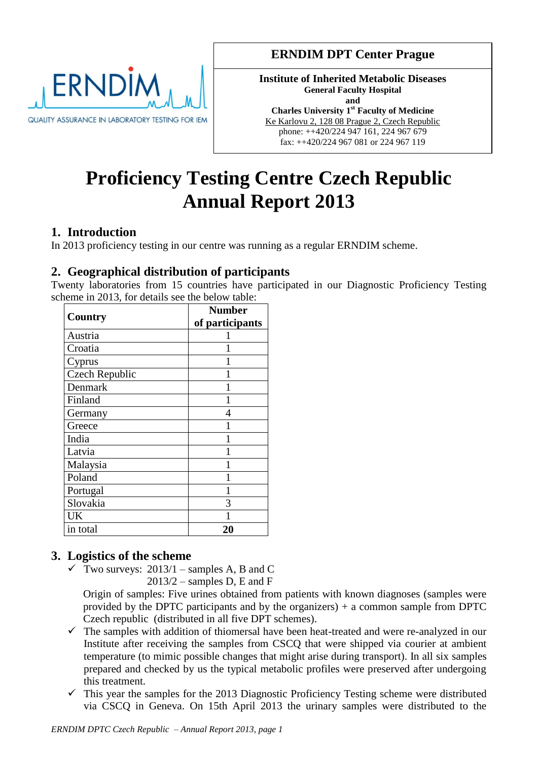

## **ERNDIM DPT Center Prague**

**Institute of Inherited Metabolic Diseases General Faculty Hospital and Charles University 1st Faculty of Medicine** Ke Karlovu 2, 128 08 Prague 2, Czech Republic phone: ++420/224 947 161, 224 967 679 fax: ++420/224 967 081 or 224 967 119

# **Proficiency Testing Centre Czech Republic Annual Report 2013**

## **1. Introduction**

In 2013 proficiency testing in our centre was running as a regular ERNDIM scheme.

## **2. Geographical distribution of participants**

Twenty laboratories from 15 countries have participated in our Diagnostic Proficiency Testing scheme in 2013, for details see the below table:

| Country               | <b>Number</b>   |  |  |
|-----------------------|-----------------|--|--|
|                       | of participants |  |  |
| Austria               |                 |  |  |
| Croatia               |                 |  |  |
| Cyprus                |                 |  |  |
| <b>Czech Republic</b> |                 |  |  |
| Denmark               |                 |  |  |
| Finland               |                 |  |  |
| Germany               | 4               |  |  |
| Greece                |                 |  |  |
| India                 |                 |  |  |
| Latvia                |                 |  |  |
| Malaysia              |                 |  |  |
| Poland                |                 |  |  |
| Portugal              |                 |  |  |
| Slovakia              | 3               |  |  |
| UK                    |                 |  |  |
| in total              | 20              |  |  |

## **3. Logistics of the scheme**

 $\checkmark$  Two surveys: 2013/1 – samples A, B and C  $2013/2$  – samples D, E and F

Origin of samples: Five urines obtained from patients with known diagnoses (samples were provided by the DPTC participants and by the organizers) + a common sample from DPTC Czech republic (distributed in all five DPT schemes).

- $\checkmark$  The samples with addition of thiomersal have been heat-treated and were re-analyzed in our Institute after receiving the samples from CSCQ that were shipped via courier at ambient temperature (to mimic possible changes that might arise during transport). In all six samples prepared and checked by us the typical metabolic profiles were preserved after undergoing this treatment.
- $\checkmark$  This year the samples for the 2013 Diagnostic Proficiency Testing scheme were distributed via CSCQ in Geneva. On 15th April 2013 the urinary samples were distributed to the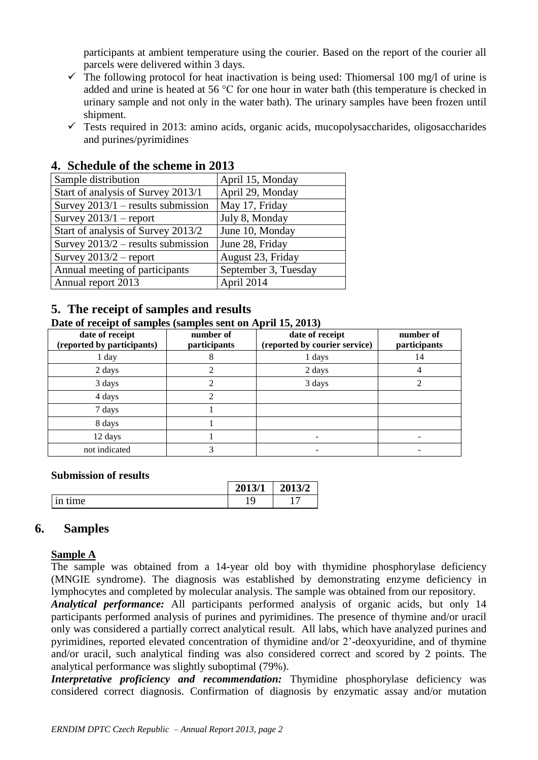participants at ambient temperature using the courier. Based on the report of the courier all parcels were delivered within 3 days.

- $\checkmark$  The following protocol for heat inactivation is being used: Thiomersal 100 mg/l of urine is added and urine is heated at 56 °C for one hour in water bath (this temperature is checked in urinary sample and not only in the water bath). The urinary samples have been frozen until shipment.
- $\checkmark$  Tests required in 2013: amino acids, organic acids, mucopolysaccharides, oligosaccharides and purines/pyrimidines

| Sample distribution                  | April 15, Monday     |
|--------------------------------------|----------------------|
| Start of analysis of Survey 2013/1   | April 29, Monday     |
| Survey $2013/1$ – results submission | May 17, Friday       |
| Survey $2013/1$ – report             | July 8, Monday       |
| Start of analysis of Survey 2013/2   | June 10, Monday      |
| Survey $2013/2$ – results submission | June 28, Friday      |
| Survey $2013/2$ – report             | August 23, Friday    |
| Annual meeting of participants       | September 3, Tuesday |
| Annual report 2013                   | April 2014           |

## **4. Schedule of the scheme in 2013**

## **5. The receipt of samples and results**

#### **Date of receipt of samples (samples sent on April 15, 2013)**

| date of receipt<br>(reported by participants) | $\cdots$ $\cdots$<br>number of<br>participants | date of receipt<br>(reported by courier service) | number of<br>participants |
|-----------------------------------------------|------------------------------------------------|--------------------------------------------------|---------------------------|
| 1 day                                         | δ                                              | 1 days                                           | 14                        |
| 2 days                                        | っ                                              | 2 days                                           |                           |
| 3 days                                        | ∍                                              | 3 days                                           |                           |
| 4 days                                        | ↑                                              |                                                  |                           |
| 7 days                                        |                                                |                                                  |                           |
| 8 days                                        |                                                |                                                  |                           |
| 12 days                                       |                                                |                                                  |                           |
| not indicated                                 | 3                                              |                                                  |                           |

#### **Submission of results**

|                                | 2013/1 | 2013/2 |
|--------------------------------|--------|--------|
| $\mu$ me<br>$\overline{a}$<br> |        |        |

#### **6. Samples**

#### **Sample A**

The sample was obtained from a 14-year old boy with thymidine phosphorylase deficiency (MNGIE syndrome). The diagnosis was established by demonstrating enzyme deficiency in lymphocytes and completed by molecular analysis. The sample was obtained from our repository.

*Analytical performance:* All participants performed analysis of organic acids, but only 14 participants performed analysis of purines and pyrimidines. The presence of thymine and/or uracil only was considered a partially correct analytical result. All labs, which have analyzed purines and pyrimidines, reported elevated concentration of thymidine and/or 2'-deoxyuridine, and of thymine and/or uracil, such analytical finding was also considered correct and scored by 2 points. The analytical performance was slightly suboptimal (79%).

*Interpretative proficiency and recommendation:* Thymidine phosphorylase deficiency was considered correct diagnosis. Confirmation of diagnosis by enzymatic assay and/or mutation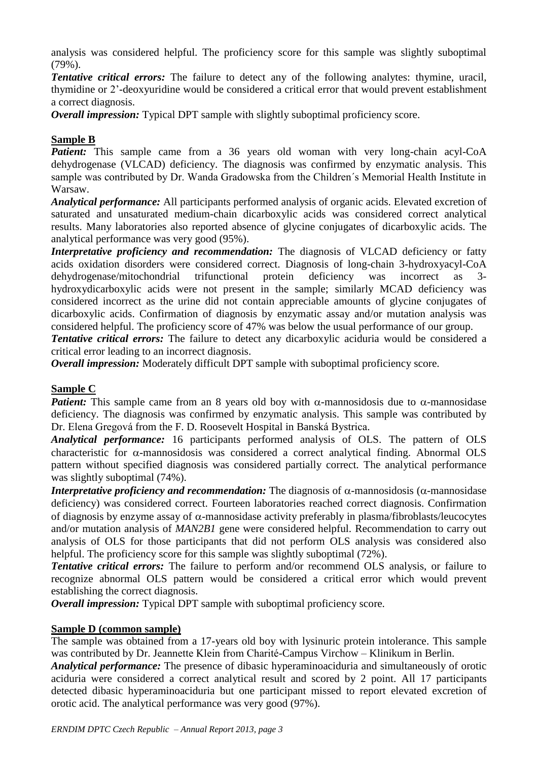analysis was considered helpful. The proficiency score for this sample was slightly suboptimal (79%).

*Tentative critical errors:* The failure to detect any of the following analytes: thymine, uracil, thymidine or 2'-deoxyuridine would be considered a critical error that would prevent establishment a correct diagnosis.

*Overall impression:* Typical DPT sample with slightly suboptimal proficiency score.

#### **Sample B**

*Patient:* This sample came from a 36 years old woman with very long-chain acyl-CoA dehydrogenase (VLCAD) deficiency. The diagnosis was confirmed by enzymatic analysis. This sample was contributed by Dr. Wanda Gradowska from the Children´s Memorial Health Institute in Warsaw.

*Analytical performance:* All participants performed analysis of organic acids. Elevated excretion of saturated and unsaturated medium-chain dicarboxylic acids was considered correct analytical results. Many laboratories also reported absence of glycine conjugates of dicarboxylic acids. The analytical performance was very good (95%).

*Interpretative proficiency and recommendation:* The diagnosis of VLCAD deficiency or fatty acids oxidation disorders were considered correct. Diagnosis of long-chain 3-hydroxyacyl-CoA dehydrogenase/mitochondrial trifunctional protein deficiency was incorrect as 3 hydroxydicarboxylic acids were not present in the sample; similarly MCAD deficiency was considered incorrect as the urine did not contain appreciable amounts of glycine conjugates of dicarboxylic acids. Confirmation of diagnosis by enzymatic assay and/or mutation analysis was considered helpful. The proficiency score of 47% was below the usual performance of our group.

*Tentative critical errors:* The failure to detect any dicarboxylic aciduria would be considered a critical error leading to an incorrect diagnosis.

*Overall impression:* Moderately difficult DPT sample with suboptimal proficiency score.

#### **Sample C**

*Patient:* This sample came from an 8 years old boy with  $\alpha$ -mannosidosis due to  $\alpha$ -mannosidase deficiency. The diagnosis was confirmed by enzymatic analysis. This sample was contributed by Dr. Elena Gregová from the F. D. Roosevelt Hospital in Banská Bystrica.

*Analytical performance:* 16 participants performed analysis of OLS. The pattern of OLS characteristic for  $\alpha$ -mannosidosis was considered a correct analytical finding. Abnormal OLS pattern without specified diagnosis was considered partially correct. The analytical performance was slightly suboptimal (74%).

*Interpretative proficiency and recommendation:* The diagnosis of  $\alpha$ -mannosidosis ( $\alpha$ -mannosidase) deficiency) was considered correct. Fourteen laboratories reached correct diagnosis. Confirmation of diagnosis by enzyme assay of  $\alpha$ -mannosidase activity preferably in plasma/fibroblasts/leucocytes and/or mutation analysis of *MAN2B1* gene were considered helpful. Recommendation to carry out analysis of OLS for those participants that did not perform OLS analysis was considered also helpful. The proficiency score for this sample was slightly suboptimal (72%).

*Tentative critical errors:* The failure to perform and/or recommend OLS analysis, or failure to recognize abnormal OLS pattern would be considered a critical error which would prevent establishing the correct diagnosis.

*Overall impression:* Typical DPT sample with suboptimal proficiency score.

#### **Sample D (common sample)**

The sample was obtained from a 17-years old boy with lysinuric protein intolerance. This sample was contributed by Dr. Jeannette Klein from Charité-Campus Virchow – Klinikum in Berlin.

*Analytical performance:* The presence of dibasic hyperaminoaciduria and simultaneously of orotic aciduria were considered a correct analytical result and scored by 2 point. All 17 participants detected dibasic hyperaminoaciduria but one participant missed to report elevated excretion of orotic acid. The analytical performance was very good (97%).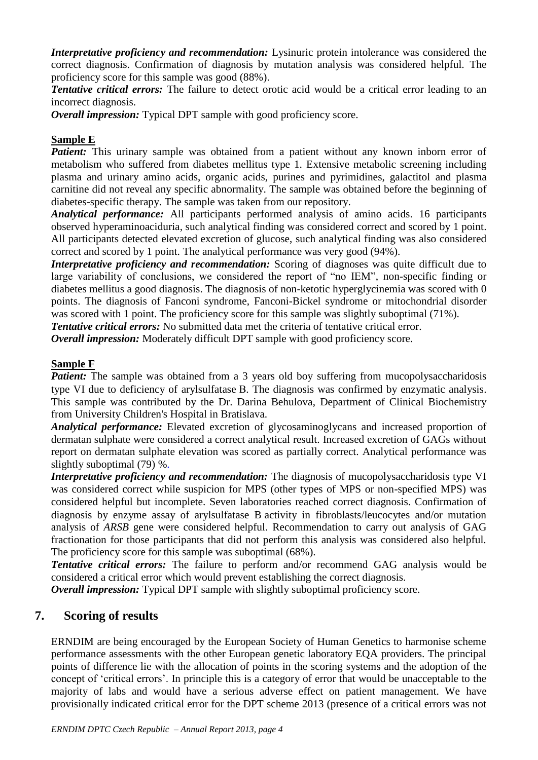*Interpretative proficiency and recommendation:* Lysinuric protein intolerance was considered the correct diagnosis. Confirmation of diagnosis by mutation analysis was considered helpful. The proficiency score for this sample was good (88%).

*Tentative critical errors:* The failure to detect orotic acid would be a critical error leading to an incorrect diagnosis.

*Overall impression:* Typical DPT sample with good proficiency score.

#### **Sample E**

*Patient:* This urinary sample was obtained from a patient without any known inborn error of metabolism who suffered from diabetes mellitus type 1. Extensive metabolic screening including plasma and urinary amino acids, organic acids, purines and pyrimidines, galactitol and plasma carnitine did not reveal any specific abnormality. The sample was obtained before the beginning of diabetes-specific therapy. The sample was taken from our repository.

*Analytical performance:* All participants performed analysis of amino acids. 16 participants observed hyperaminoaciduria, such analytical finding was considered correct and scored by 1 point. All participants detected elevated excretion of glucose, such analytical finding was also considered correct and scored by 1 point. The analytical performance was very good (94%).

*Interpretative proficiency and recommendation:* Scoring of diagnoses was quite difficult due to large variability of conclusions, we considered the report of "no IEM", non-specific finding or diabetes mellitus a good diagnosis. The diagnosis of non-ketotic hyperglycinemia was scored with 0 points. The diagnosis of Fanconi syndrome, Fanconi-Bickel syndrome or mitochondrial disorder was scored with 1 point. The proficiency score for this sample was slightly suboptimal (71%).

**Tentative critical errors:** No submitted data met the criteria of tentative critical error.

*Overall impression:* Moderately difficult DPT sample with good proficiency score.

#### **Sample F**

*Patient:* The sample was obtained from a 3 years old boy suffering from mucopolysaccharidosis type VI due to deficiency of arylsulfatase B. The diagnosis was confirmed by enzymatic analysis. This sample was contributed by the Dr. Darina Behulova, Department of Clinical Biochemistry from University Children's Hospital in Bratislava.

*Analytical performance:* Elevated excretion of glycosaminoglycans and increased proportion of dermatan sulphate were considered a correct analytical result. Increased excretion of GAGs without report on dermatan sulphate elevation was scored as partially correct. Analytical performance was slightly suboptimal (79) %.

*Interpretative proficiency and recommendation:* The diagnosis of mucopolysaccharidosis type VI was considered correct while suspicion for MPS (other types of MPS or non-specified MPS) was considered helpful but incomplete. Seven laboratories reached correct diagnosis. Confirmation of diagnosis by enzyme assay of arylsulfatase B activity in fibroblasts/leucocytes and/or mutation analysis of *ARSB* gene were considered helpful. Recommendation to carry out analysis of GAG fractionation for those participants that did not perform this analysis was considered also helpful. The proficiency score for this sample was suboptimal (68%).

*Tentative critical errors:* The failure to perform and/or recommend GAG analysis would be considered a critical error which would prevent establishing the correct diagnosis.

*Overall impression:* Typical DPT sample with slightly suboptimal proficiency score.

## **7. Scoring of results**

ERNDIM are being encouraged by the European Society of Human Genetics to harmonise scheme performance assessments with the other European genetic laboratory EQA providers. The principal points of difference lie with the allocation of points in the scoring systems and the adoption of the concept of 'critical errors'. In principle this is a category of error that would be unacceptable to the majority of labs and would have a serious adverse effect on patient management. We have provisionally indicated critical error for the DPT scheme 2013 (presence of a critical errors was not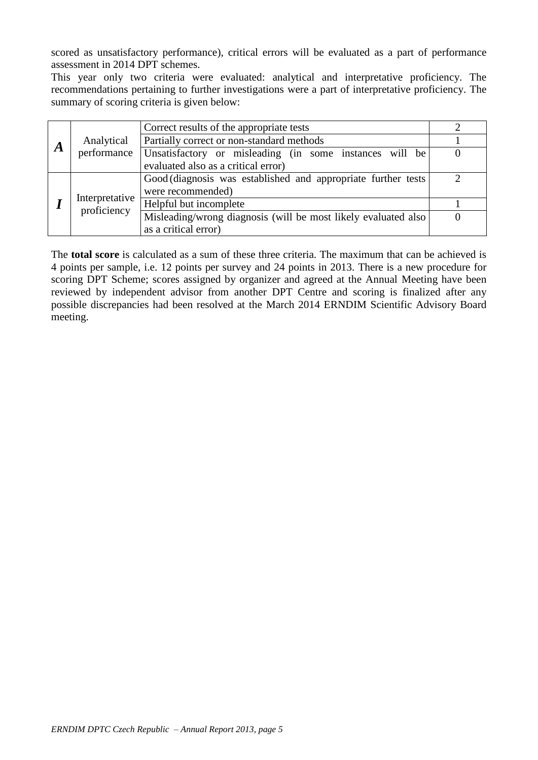scored as unsatisfactory performance), critical errors will be evaluated as a part of performance assessment in 2014 DPT schemes.

This year only two criteria were evaluated: analytical and interpretative proficiency. The recommendations pertaining to further investigations were a part of interpretative proficiency. The summary of scoring criteria is given below:

|   |                | Correct results of the appropriate tests                       |  |  |
|---|----------------|----------------------------------------------------------------|--|--|
|   | Analytical     | Partially correct or non-standard methods                      |  |  |
| A | performance    | Unsatisfactory or misleading (in some instances will be        |  |  |
|   |                | evaluated also as a critical error)                            |  |  |
|   |                | Good (diagnosis was established and appropriate further tests) |  |  |
|   | Interpretative | were recommended)                                              |  |  |
|   | proficiency    | Helpful but incomplete                                         |  |  |
|   |                | Misleading/wrong diagnosis (will be most likely evaluated also |  |  |
|   |                | as a critical error)                                           |  |  |

The **total score** is calculated as a sum of these three criteria. The maximum that can be achieved is 4 points per sample, i.e. 12 points per survey and 24 points in 2013. There is a new procedure for scoring DPT Scheme; scores assigned by organizer and agreed at the Annual Meeting have been reviewed by independent advisor from another DPT Centre and scoring is finalized after any possible discrepancies had been resolved at the March 2014 ERNDIM Scientific Advisory Board meeting.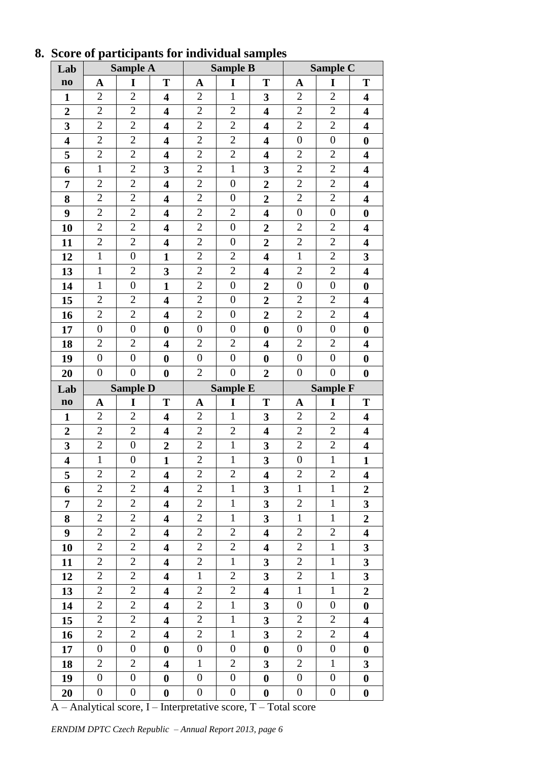| Lab                     |                  | <b>Sample A</b>  |                         |                  | <b>Sample B</b>  |                         |                  | <b>Sample C</b>  |                         |
|-------------------------|------------------|------------------|-------------------------|------------------|------------------|-------------------------|------------------|------------------|-------------------------|
| $\mathbf{n}\mathbf{o}$  | A                | I                | T                       | A                | I                | T                       | A                | I                | T                       |
| $\mathbf{1}$            | $\overline{2}$   | $\overline{2}$   | $\overline{\mathbf{4}}$ | $\mathbf{2}$     | $\mathbf{1}$     | $\overline{\mathbf{3}}$ | $\mathbf{2}$     | $\overline{2}$   | $\overline{\mathbf{4}}$ |
| $\boldsymbol{2}$        | $\overline{2}$   | $\overline{2}$   | 4                       | $\mathbf{2}$     | $\overline{2}$   | $\overline{\mathbf{4}}$ | $\mathbf{2}$     | $\mathbf{2}$     | $\overline{\mathbf{4}}$ |
| 3                       | $\overline{2}$   | $\mathbf{2}$     | $\overline{\mathbf{4}}$ | $\mathbf{2}$     | $\overline{2}$   | $\overline{\mathbf{4}}$ | $\sqrt{2}$       | $\overline{2}$   | $\overline{\mathbf{4}}$ |
| $\overline{\mathbf{4}}$ | $\overline{2}$   | $\overline{2}$   | $\overline{\mathbf{4}}$ | $\overline{2}$   | $\overline{2}$   | $\overline{\mathbf{4}}$ | $\boldsymbol{0}$ | $\boldsymbol{0}$ | $\boldsymbol{0}$        |
| 5                       | $\overline{2}$   | $\overline{2}$   | 4                       | $\sqrt{2}$       | $\overline{2}$   | $\overline{\mathbf{4}}$ | $\mathbf{2}$     | $\overline{2}$   | $\overline{\mathbf{4}}$ |
| 6                       | $\mathbf{1}$     | $\overline{2}$   | 3                       | $\mathbf{2}$     | $\mathbf{1}$     | 3                       | $\mathbf{2}$     | $\overline{2}$   | $\overline{\mathbf{4}}$ |
| 7                       | $\overline{2}$   | $\mathfrak{2}$   | $\overline{\mathbf{4}}$ | $\mathbf{2}$     | $\boldsymbol{0}$ | $\overline{2}$          | $\mathbf{2}$     | $\mathfrak{2}$   | $\overline{\mathbf{4}}$ |
| 8                       | $\overline{2}$   | $\overline{2}$   | 4                       | $\mathbf{2}$     | $\boldsymbol{0}$ | $\boldsymbol{2}$        | $\mathbf{2}$     | $\overline{2}$   | $\overline{\mathbf{4}}$ |
| 9                       | $\boldsymbol{2}$ | $\overline{2}$   | $\overline{\mathbf{4}}$ | $\mathbf{2}$     | $\overline{2}$   | $\overline{\mathbf{4}}$ | $\boldsymbol{0}$ | $\boldsymbol{0}$ | $\boldsymbol{0}$        |
| 10                      | $\overline{2}$   | $\overline{2}$   | $\overline{\mathbf{4}}$ | $\overline{2}$   | $\boldsymbol{0}$ | $\overline{2}$          | $\overline{2}$   | $\overline{2}$   | $\overline{\mathbf{4}}$ |
| 11                      | $\boldsymbol{2}$ | $\mathbf{2}$     | 4                       | $\mathbf{2}$     | $\boldsymbol{0}$ | $\boldsymbol{2}$        | $\overline{2}$   | $\overline{2}$   | 4                       |
| 12                      | $\mathbf{1}$     | $\boldsymbol{0}$ | $\mathbf{1}$            | $\overline{2}$   | $\overline{2}$   | $\overline{\mathbf{4}}$ | $\mathbf{1}$     | $\overline{2}$   | 3                       |
| 13                      | $\mathbf{1}$     | $\overline{2}$   | 3                       | $\sqrt{2}$       | $\overline{2}$   | $\overline{\mathbf{4}}$ | $\overline{2}$   | $\overline{2}$   | $\overline{\mathbf{4}}$ |
| 14                      | $\mathbf{1}$     | $\boldsymbol{0}$ | $\mathbf{1}$            | $\overline{2}$   | $\boldsymbol{0}$ | $\overline{2}$          | $\boldsymbol{0}$ | $\boldsymbol{0}$ | $\boldsymbol{0}$        |
| 15                      | $\mathfrak{2}$   | $\overline{2}$   | $\overline{\mathbf{4}}$ | $\mathbf{2}$     | $\boldsymbol{0}$ | $\boldsymbol{2}$        | $\mathbf{2}$     | $\overline{2}$   | 4                       |
| 16                      | $\overline{2}$   | $\overline{2}$   | 4                       | $\overline{2}$   | $\boldsymbol{0}$ | $\overline{2}$          | $\overline{2}$   | $\overline{2}$   | $\overline{\mathbf{4}}$ |
| 17                      | $\boldsymbol{0}$ | $\boldsymbol{0}$ | $\boldsymbol{0}$        | $\boldsymbol{0}$ | $\boldsymbol{0}$ | $\boldsymbol{0}$        | $\boldsymbol{0}$ | $\boldsymbol{0}$ | $\boldsymbol{0}$        |
| 18                      | $\mathbf{2}$     | $\overline{2}$   | $\overline{\mathbf{4}}$ | $\mathbf{2}$     | $\mathbf{2}$     | $\overline{\mathbf{4}}$ | $\sqrt{2}$       | $\overline{2}$   | $\overline{\mathbf{4}}$ |
| 19                      | $\boldsymbol{0}$ | $\boldsymbol{0}$ | $\boldsymbol{0}$        | $\boldsymbol{0}$ | $\boldsymbol{0}$ | $\boldsymbol{0}$        | $\boldsymbol{0}$ | $\boldsymbol{0}$ | $\boldsymbol{0}$        |
| 20                      | $\boldsymbol{0}$ | $\boldsymbol{0}$ | $\bf{0}$                | $\mathbf{2}$     | $\boldsymbol{0}$ | $\overline{2}$          | $\boldsymbol{0}$ | $\boldsymbol{0}$ | $\boldsymbol{0}$        |
|                         |                  |                  |                         |                  |                  |                         |                  |                  |                         |
| Lab                     |                  | <b>Sample D</b>  |                         |                  | <b>Sample E</b>  |                         |                  | <b>Sample F</b>  |                         |
| $\mathbf{no}$           | $\mathbf A$      | I                | T                       | $\mathbf A$      | I                | T                       | $\mathbf A$      | I                | T                       |
| $\mathbf{1}$            | $\mathbf{2}$     | $\overline{2}$   | $\overline{\mathbf{4}}$ | $\mathfrak{2}$   | $\mathbf{1}$     | 3                       | $\overline{2}$   | $\overline{2}$   | 4                       |
| $\overline{2}$          | $\overline{2}$   | $\overline{2}$   | 4                       | $\sqrt{2}$       | $\overline{2}$   | $\overline{\mathbf{4}}$ | $\mathbf{2}$     | $\overline{2}$   | $\overline{\mathbf{4}}$ |
| $\overline{\mathbf{3}}$ | $\overline{2}$   | $\boldsymbol{0}$ | $\boldsymbol{2}$        | $\sqrt{2}$       | $\mathbf{1}$     | 3                       | $\sqrt{2}$       | $\overline{2}$   | $\overline{\mathbf{4}}$ |
| $\overline{\mathbf{4}}$ | $\mathbf{1}$     | $\boldsymbol{0}$ | $\mathbf{1}$            | $\overline{2}$   | $\overline{1}$   | $\overline{\mathbf{3}}$ | $\boldsymbol{0}$ | $\overline{1}$   | $\mathbf{1}$            |
| 5                       | $\mathfrak{2}$   | $\overline{2}$   | 4                       | $\overline{2}$   | $\mathbf{2}$     | $\overline{\mathbf{4}}$ | $\mathbf{2}$     | $\mathbf{2}$     | 4                       |
| 6                       | $\boldsymbol{2}$ | $\overline{2}$   | 4                       | $\mathbf{2}$     | $\mathbf{1}$     | 3                       | $\mathbf{1}$     | $\mathbf{1}$     | $\boldsymbol{2}$        |
| 7                       | $\overline{2}$   | $\overline{2}$   | 4                       | $\mathbf{2}$     | $\mathbf{1}$     | 3                       | $\overline{2}$   | $\mathbf{1}$     | 3                       |
| 8                       | $\mathbf{2}$     | $\overline{2}$   | 4                       | $\mathbf{2}$     | $\mathbf{1}$     | 3                       | $\mathbf{1}$     | $\mathbf{1}$     | $\overline{2}$          |
| 9                       | $\overline{2}$   | $\overline{2}$   | 4                       | $\mathbf{2}$     | $\overline{2}$   | $\overline{\mathbf{4}}$ | $\overline{2}$   | $\overline{2}$   | $\overline{\mathbf{4}}$ |
| 10                      | $\overline{2}$   | $\mathfrak{2}$   | $\overline{\mathbf{4}}$ | $\mathbf{2}$     | $\mathbf{2}$     | $\overline{\mathbf{4}}$ | $\overline{2}$   | $\mathbf{1}$     | 3                       |
| 11                      | $\overline{2}$   | $\overline{2}$   | 4                       | $\mathbf{2}$     | $\mathbf{1}$     | $\mathbf{3}$            | $\mathbf{2}$     | $\mathbf{1}$     | 3                       |
| 12                      | $\overline{c}$   | $\overline{2}$   | 4                       | $\mathbf{1}$     | $\mathfrak{2}$   | 3                       | $\overline{c}$   | $\mathbf{1}$     | 3                       |
| 13                      | $\overline{2}$   | $\overline{2}$   | 4                       | $\overline{2}$   | $\overline{2}$   | $\overline{\mathbf{4}}$ | $1\,$            | $\mathbf{1}$     | $\overline{2}$          |
| 14                      | $\boldsymbol{2}$ | $\overline{2}$   | 4                       | $\mathbf{2}$     | $\mathbf{1}$     | $\overline{\mathbf{3}}$ | $\boldsymbol{0}$ | $\boldsymbol{0}$ | $\boldsymbol{0}$        |
| 15                      | $\overline{2}$   | $\overline{2}$   | 4                       | $\mathbf{2}$     | $\mathbf{1}$     | $\overline{\mathbf{3}}$ | $\mathfrak{2}$   | $\mathbf{2}$     | $\overline{\mathbf{4}}$ |
| 16                      | $\boldsymbol{2}$ | $\overline{2}$   | 4                       | $\mathbf{2}$     | $\mathbf{1}$     | 3                       | $\overline{c}$   | $\overline{2}$   | 4                       |
| 17                      | $\boldsymbol{0}$ | $\boldsymbol{0}$ | $\boldsymbol{0}$        | $\boldsymbol{0}$ | $\boldsymbol{0}$ | $\bf{0}$                | $\boldsymbol{0}$ | $\boldsymbol{0}$ | $\boldsymbol{0}$        |
| 18                      | $\mathbf{2}$     | $\overline{2}$   | 4                       | $\mathbf{1}$     | $\overline{2}$   | 3                       | $\mathfrak{2}$   | $\mathbf{1}$     | 3                       |
| 19                      | $\boldsymbol{0}$ | $\boldsymbol{0}$ | $\boldsymbol{0}$        | $\boldsymbol{0}$ | $\boldsymbol{0}$ | $\boldsymbol{0}$        | $\boldsymbol{0}$ | $\boldsymbol{0}$ | $\boldsymbol{0}$        |

## **8. Score of participants for individual samples**

A – Analytical score, I – Interpretative score, T – Total score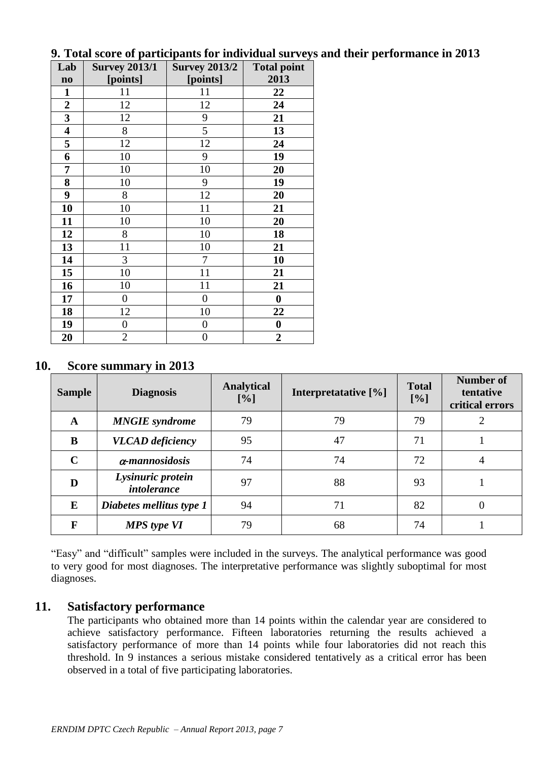| Lab                     | <b>Survey 2013/1</b> | <b>Survey 2013/2</b> | <b>Total point</b> |
|-------------------------|----------------------|----------------------|--------------------|
| $\mathbf{n}\mathbf{o}$  | [points]             | [points]             | 2013               |
| $\mathbf{1}$            | 11                   | 11                   | 22                 |
| $\boldsymbol{2}$        | 12                   | 12                   | 24                 |
| 3                       | 12                   | 9                    | 21                 |
| $\overline{\mathbf{4}}$ | 8                    | 5                    | 13                 |
| 5                       | 12                   | 12                   | 24                 |
| 6                       | 10                   | 9                    | 19                 |
| 7                       | 10                   | 10                   | 20                 |
| 8                       | 10                   | 9                    | 19                 |
| 9                       | 8                    | 12                   | 20                 |
| 10                      | 10                   | 11                   | 21                 |
| 11                      | 10                   | 10                   | 20                 |
| 12                      | 8                    | 10                   | 18                 |
| 13                      | 11                   | 10                   | 21                 |
| 14                      | 3                    | 7                    | 10                 |
| 15                      | 10                   | 11                   | 21                 |
| 16                      | 10                   | 11                   | 21                 |
| 17                      | $\overline{0}$       | $\boldsymbol{0}$     | $\boldsymbol{0}$   |
| 18                      | 12                   | 10                   | 22                 |
| 19                      | $\boldsymbol{0}$     | $\boldsymbol{0}$     | $\boldsymbol{0}$   |
| 20                      | $\mathfrak{2}$       | $\boldsymbol{0}$     | $\boldsymbol{2}$   |

#### **9. Total score of participants for individual surveys and their performance in 2013**

#### **10. Score summary in 2013**

| <b>Sample</b> | <b>Diagnosis</b>                        | <b>Analytical</b><br>[%] | Interpretatative [%] | <b>Total</b><br>[%] | Number of<br>tentative<br>critical errors |
|---------------|-----------------------------------------|--------------------------|----------------------|---------------------|-------------------------------------------|
| A             | <b>MNGIE</b> syndrome                   | 79                       | 79                   | 79                  |                                           |
| B             | <b>VLCAD</b> deficiency                 | 95                       | 47                   | 71                  |                                           |
| $\mathbf C$   | $\alpha$ -mannosidosis                  | 74                       | 74                   | 72                  | 4                                         |
| D             | Lysinuric protein<br><i>intolerance</i> | 97                       | 88                   | 93                  |                                           |
| E             | Diabetes mellitus type 1                | 94                       | 71                   | 82                  | $\theta$                                  |
| F             | <b>MPS</b> type VI                      | 79                       | 68                   | 74                  |                                           |

"Easy" and "difficult" samples were included in the surveys. The analytical performance was good to very good for most diagnoses. The interpretative performance was slightly suboptimal for most diagnoses.

#### **11. Satisfactory performance**

The participants who obtained more than 14 points within the calendar year are considered to achieve satisfactory performance. Fifteen laboratories returning the results achieved a satisfactory performance of more than 14 points while four laboratories did not reach this threshold. In 9 instances a serious mistake considered tentatively as a critical error has been observed in a total of five participating laboratories.